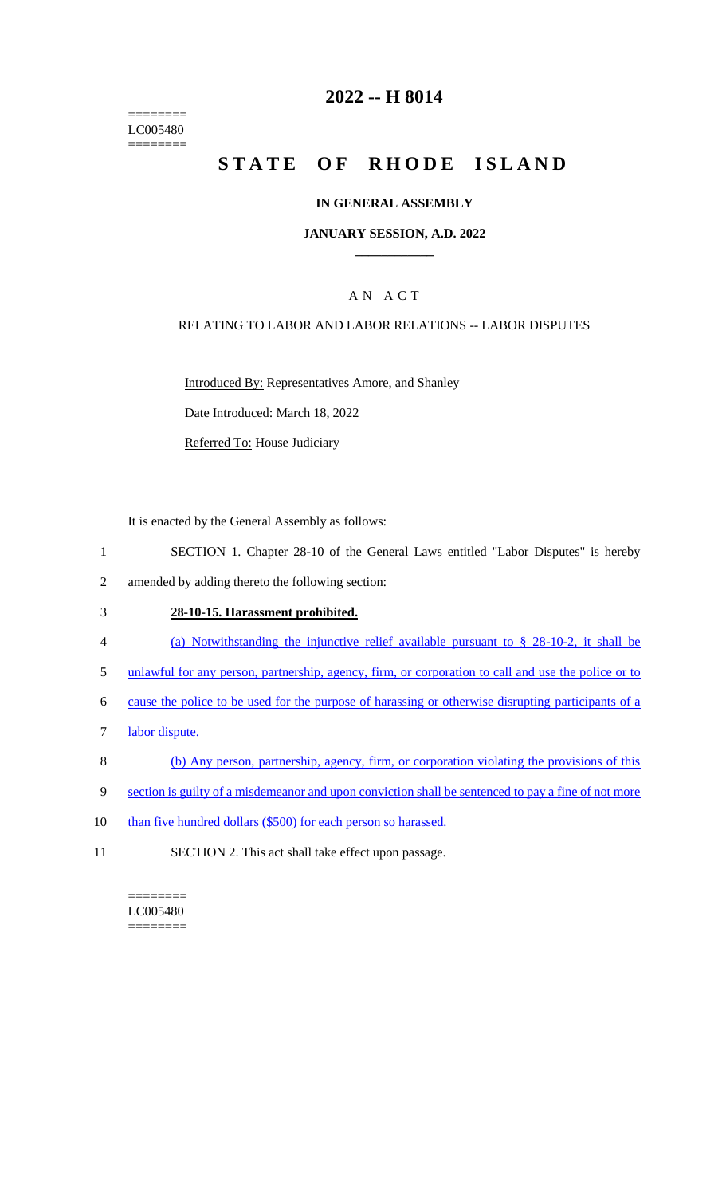======== LC005480  $=$ 

## **2022 -- H 8014**

# **STATE OF RHODE ISLAND**

### **IN GENERAL ASSEMBLY**

#### **JANUARY SESSION, A.D. 2022 \_\_\_\_\_\_\_\_\_\_\_\_**

## A N A C T

### RELATING TO LABOR AND LABOR RELATIONS -- LABOR DISPUTES

Introduced By: Representatives Amore, and Shanley

Date Introduced: March 18, 2022

Referred To: House Judiciary

It is enacted by the General Assembly as follows:

- 1 SECTION 1. Chapter 28-10 of the General Laws entitled "Labor Disputes" is hereby
- 2 amended by adding thereto the following section:

#### 3 **28-10-15. Harassment prohibited.**

- 4 (a) Notwithstanding the injunctive relief available pursuant to § 28-10-2, it shall be
- 5 unlawful for any person, partnership, agency, firm, or corporation to call and use the police or to

6 cause the police to be used for the purpose of harassing or otherwise disrupting participants of a

- 7 labor dispute.
- 8 (b) Any person, partnership, agency, firm, or corporation violating the provisions of this
- 9 section is guilty of a misdemeanor and upon conviction shall be sentenced to pay a fine of not more
- 10 than five hundred dollars (\$500) for each person so harassed.
- 11 SECTION 2. This act shall take effect upon passage.

======== LC005480  $=$